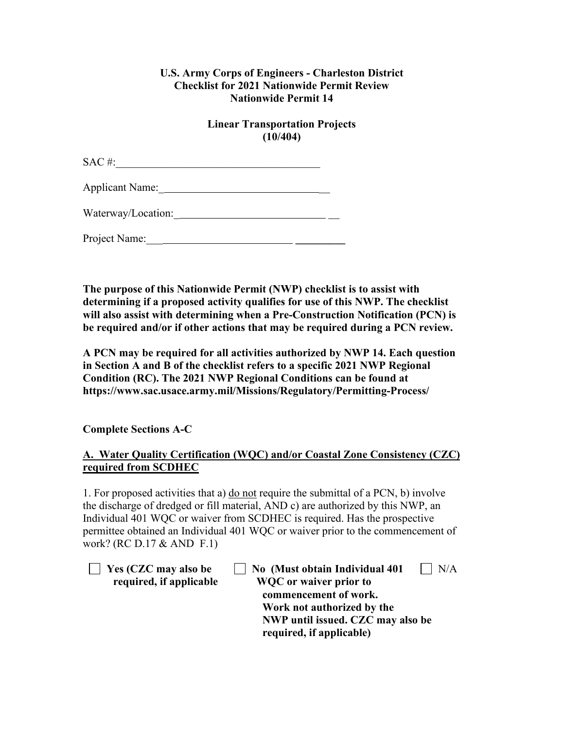## **U.S. Army Corps of Engineers - Charleston District Checklist for 2021 Nationwide Permit Review Nationwide Permit 14**

## **Linear Transportation Projects (10/404)**

 $SAC \#:$ 

Applicant Name:\_ \_\_

Waterway/Location:\_ \_\_

Project Name:\_\_\_ **\_\_\_\_\_\_\_\_\_**

**The purpose of this Nationwide Permit (NWP) checklist is to assist with determining if a proposed activity qualifies for use of this NWP. The checklist will also assist with determining when a Pre-Construction Notification (PCN) is be required and/or if other actions that may be required during a PCN review.**

**A PCN may be required for all activities authorized by NWP 14. Each question in Section A and B of the checklist refers to a specific 2021 NWP Regional Condition (RC). The 2021 NWP Regional Conditions can be found at https://www.sac.usace.army.mil/Missions/Regulatory/Permitting-Process/**

**Complete Sections A-C**

# **A. Water Quality Certification (WQC) and/or Coastal Zone Consistency (CZC) required from SCDHEC**

1. For proposed activities that a) do not require the submittal of a PCN, b) involve the discharge of dredged or fill material, AND c) are authorized by this NWP, an Individual 401 WQC or waiver from SCDHEC is required. Has the prospective permittee obtained an Individual 401 WQC or waiver prior to the commencement of work? (RC D.17 & AND F.1)

| $\Box$ Yes (CZC may also be |
|-----------------------------|
| required, if applicable     |

**T** Yes (CZC may also be  $\Box$  No (Must obtain Individual 401  $\Box$  N/A  **red, if applicable WQC or waiver prior to commencement of work. Work not authorized by the NWP until issued. CZC may also be required, if applicable)**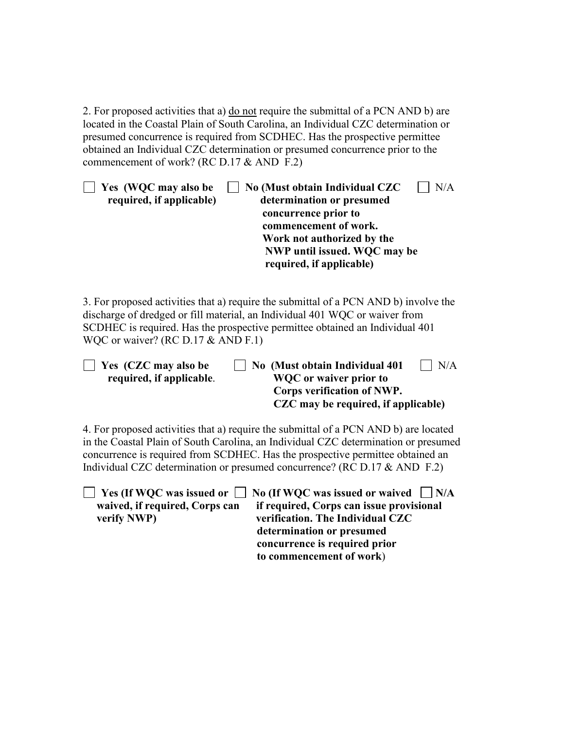2. For proposed activities that a) do not require the submittal of a PCN AND b) are located in the Coastal Plain of South Carolina, an Individual CZC determination or presumed concurrence is required from SCDHEC. Has the prospective permittee obtained an Individual CZC determination or presumed concurrence prior to the commencement of work? (RC D.17 & AND F.2)

| Yes (WQC may also be     | No (Must obtain Individual CZC | N/A |
|--------------------------|--------------------------------|-----|
| required, if applicable) | determination or presumed      |     |
|                          | concurrence prior to           |     |
|                          | commencement of work.          |     |
|                          | Work not authorized by the     |     |
|                          | NWP until issued. WQC may be   |     |
|                          | required, if applicable)       |     |

3. For proposed activities that a) require the submittal of a PCN AND b) involve the discharge of dredged or fill material, an Individual 401 WQC or waiver from SCDHEC is required. Has the prospective permittee obtained an Individual 401 WQC or waiver? (RC D.17 & AND F.1)

| $\vert$ Yes (CZC may also be | No (Must obtain Individual 401      | $\vert$ $\vert$ N/A |
|------------------------------|-------------------------------------|---------------------|
| required, if applicable.     | WQC or waiver prior to              |                     |
|                              | Corps verification of NWP.          |                     |
|                              | CZC may be required, if applicable) |                     |

4. For proposed activities that a) require the submittal of a PCN AND b) are located in the Coastal Plain of South Carolina, an Individual CZC determination or presumed concurrence is required from SCDHEC. Has the prospective permittee obtained an Individual CZC determination or presumed concurrence? (RC D.17 & AND F.2)

|                                | $\Box$ Yes (If WQC was issued or $\Box$ No (If WQC was issued or waived $\Box$ N/A |
|--------------------------------|------------------------------------------------------------------------------------|
| waived, if required, Corps can | if required, Corps can issue provisional                                           |
| verify NWP)                    | verification. The Individual CZC                                                   |
|                                | determination or presumed                                                          |
|                                | concurrence is required prior                                                      |
|                                | to commencement of work)                                                           |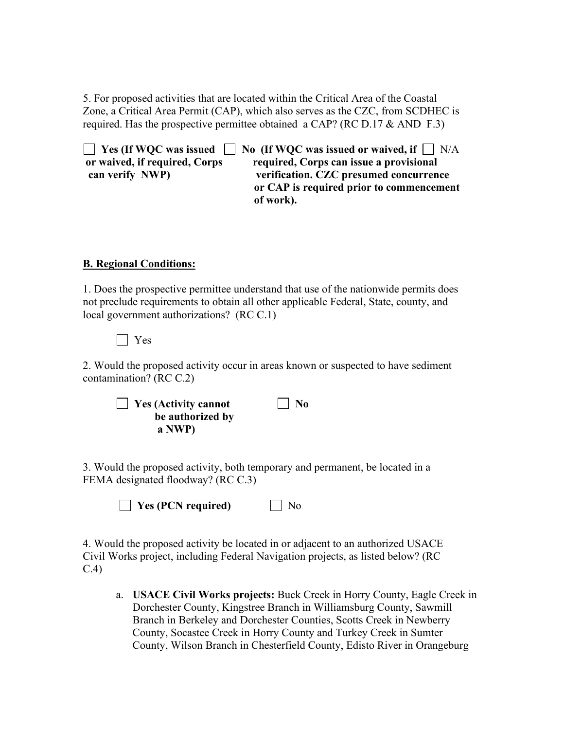5. For proposed activities that are located within the Critical Area of the Coastal Zone, a Critical Area Permit (CAP), which also serves as the CZC, from SCDHEC is required. Has the prospective permittee obtained a CAP? (RC D.17  $&$  AND F.3)

**EXECUTE:** Yes (If WQC was issued  $\Box$  No (If WQC was issued or waived, if  $\Box$  N/A **or waived, if required, Corps required, Corps can issue a provisional can verify NWP) verification. CZC presumed concurrence or CAP is required prior to commencement of work).**

#### **B. Regional Conditions:**

1. Does the prospective permittee understand that use of the nationwide permits does not preclude requirements to obtain all other applicable Federal, State, county, and local government authorizations? (RC C.1)

Yes

2. Would the proposed activity occur in areas known or suspected to have sediment contamination? (RC C.2)

| $\Box$ Yes (Activity cannot | $\vert$   No |
|-----------------------------|--------------|
| be authorized by            |              |
| a NWP)                      |              |

3. Would the proposed activity, both temporary and permanent, be located in a FEMA designated floodway? (RC C.3)

**T** Yes (PCN required) No

4. Would the proposed activity be located in or adjacent to an authorized USACE Civil Works project, including Federal Navigation projects, as listed below? (RC C.4)

a. **USACE Civil Works projects:** Buck Creek in Horry County, Eagle Creek in Dorchester County, Kingstree Branch in Williamsburg County, Sawmill Branch in Berkeley and Dorchester Counties, Scotts Creek in Newberry County, Socastee Creek in Horry County and Turkey Creek in Sumter County, Wilson Branch in Chesterfield County, Edisto River in Orangeburg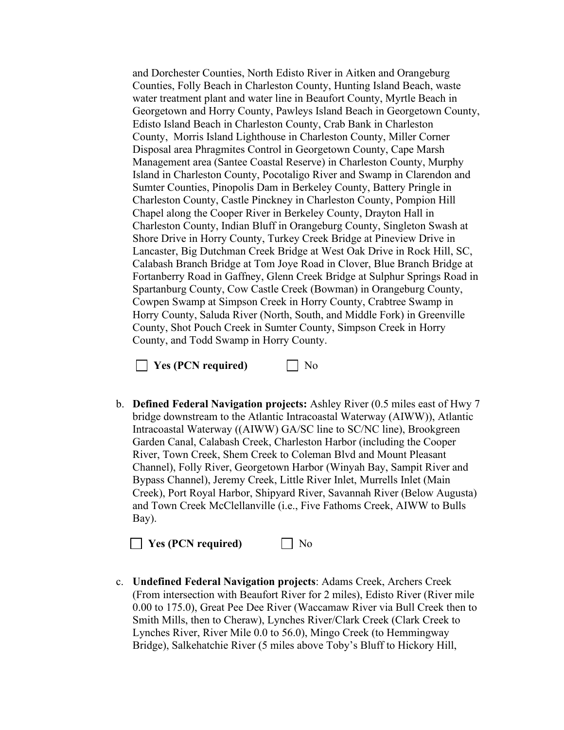and Dorchester Counties, North Edisto River in Aitken and Orangeburg Counties, Folly Beach in Charleston County, Hunting Island Beach, waste water treatment plant and water line in Beaufort County, Myrtle Beach in Georgetown and Horry County, Pawleys Island Beach in Georgetown County, Edisto Island Beach in Charleston County, Crab Bank in Charleston County, Morris Island Lighthouse in Charleston County, Miller Corner Disposal area Phragmites Control in Georgetown County, Cape Marsh Management area (Santee Coastal Reserve) in Charleston County, Murphy Island in Charleston County, Pocotaligo River and Swamp in Clarendon and Sumter Counties, Pinopolis Dam in Berkeley County, Battery Pringle in Charleston County, Castle Pinckney in Charleston County, Pompion Hill Chapel along the Cooper River in Berkeley County, Drayton Hall in Charleston County, Indian Bluff in Orangeburg County, Singleton Swash at Shore Drive in Horry County, Turkey Creek Bridge at Pineview Drive in Lancaster, Big Dutchman Creek Bridge at West Oak Drive in Rock Hill, SC, Calabash Branch Bridge at Tom Joye Road in Clover, Blue Branch Bridge at Fortanberry Road in Gaffney, Glenn Creek Bridge at Sulphur Springs Road in Spartanburg County, Cow Castle Creek (Bowman) in Orangeburg County, Cowpen Swamp at Simpson Creek in Horry County, Crabtree Swamp in Horry County, Saluda River (North, South, and Middle Fork) in Greenville County, Shot Pouch Creek in Sumter County, Simpson Creek in Horry County, and Todd Swamp in Horry County.

**No Yes (PCN required)** No

b. **Defined Federal Navigation projects:** Ashley River (0.5 miles east of Hwy 7 bridge downstream to the Atlantic Intracoastal Waterway (AIWW)), Atlantic Intracoastal Waterway ((AIWW) GA/SC line to SC/NC line), Brookgreen Garden Canal, Calabash Creek, Charleston Harbor (including the Cooper River, Town Creek, Shem Creek to Coleman Blvd and Mount Pleasant Channel), Folly River, Georgetown Harbor (Winyah Bay, Sampit River and Bypass Channel), Jeremy Creek, Little River Inlet, Murrells Inlet (Main Creek), Port Royal Harbor, Shipyard River, Savannah River (Below Augusta) and Town Creek McClellanville (i.e., Five Fathoms Creek, AIWW to Bulls Bay).

**Yes (PCN required)** No

c. **Undefined Federal Navigation projects**: Adams Creek, Archers Creek (From intersection with Beaufort River for 2 miles), Edisto River (River mile 0.00 to 175.0), Great Pee Dee River (Waccamaw River via Bull Creek then to Smith Mills, then to Cheraw), Lynches River/Clark Creek (Clark Creek to Lynches River, River Mile 0.0 to 56.0), Mingo Creek (to Hemmingway Bridge), Salkehatchie River (5 miles above Toby's Bluff to Hickory Hill,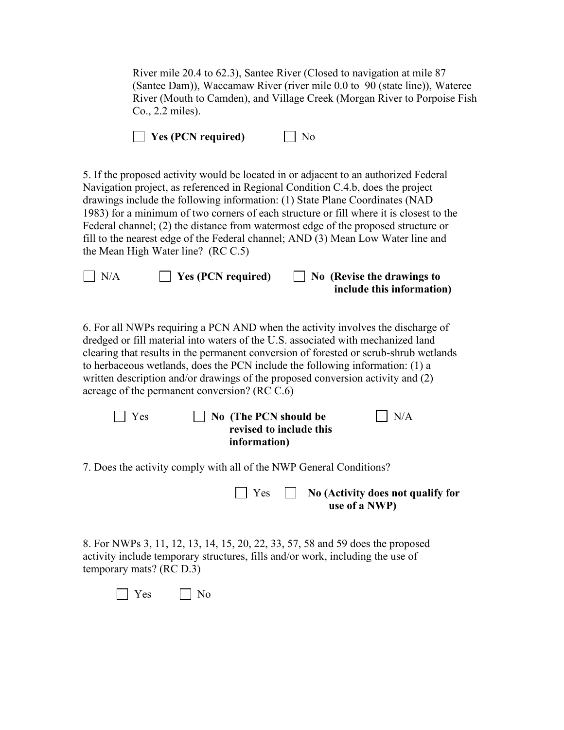River mile 20.4 to 62.3), Santee River (Closed to navigation at mile 87 (Santee Dam)), Waccamaw River (river mile 0.0 to 90 (state line)), Wateree River (Mouth to Camden), and Village Creek (Morgan River to Porpoise Fish Co., 2.2 miles).

|  |  |  | $\Box$ Yes (PCN required) |  | $\Box$ No |
|--|--|--|---------------------------|--|-----------|
|--|--|--|---------------------------|--|-----------|

5. If the proposed activity would be located in or adjacent to an authorized Federal Navigation project, as referenced in Regional Condition C.4.b, does the project drawings include the following information: (1) State Plane Coordinates (NAD 1983) for a minimum of two corners of each structure or fill where it is closest to the Federal channel; (2) the distance from watermost edge of the proposed structure or fill to the nearest edge of the Federal channel; AND (3) Mean Low Water line and the Mean High Water line? (RC C.5)

| $\Box$ N/A | $\Box$ Yes (PCN required) | $\Box$ No (Revise the drawings to |
|------------|---------------------------|-----------------------------------|
|            |                           | include this information)         |

6. For all NWPs requiring a PCN AND when the activity involves the discharge of dredged or fill material into waters of the U.S. associated with mechanized land clearing that results in the permanent conversion of forested or scrub-shrub wetlands to herbaceous wetlands, does the PCN include the following information: (1) a written description and/or drawings of the proposed conversion activity and (2) acreage of the permanent conversion? (RC C.6)

| $\vert$   Yes | $\Box$ No (The PCN should be | $\mathsf{I}$ N/A |
|---------------|------------------------------|------------------|
|               | revised to include this      |                  |
|               | information)                 |                  |
|               |                              |                  |

7. Does the activity comply with all of the NWP General Conditions?

 Yes **No (Activity does not qualify for use of a NWP)**

8. For NWPs 3, 11, 12, 13, 14, 15, 20, 22, 33, 57, 58 and 59 does the proposed activity include temporary structures, fills and/or work, including the use of temporary mats? (RC D.3)

 $\Box$  Yes  $\Box$  No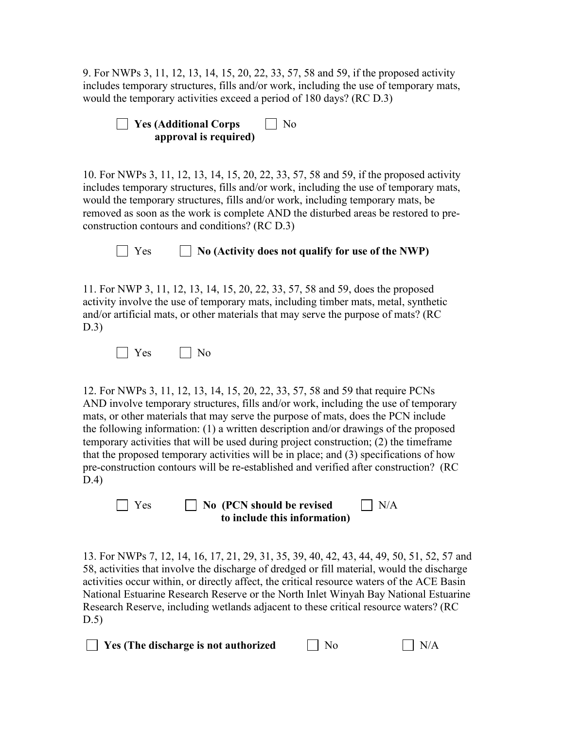9. For NWPs 3, 11, 12, 13, 14, 15, 20, 22, 33, 57, 58 and 59, if the proposed activity includes temporary structures, fills and/or work, including the use of temporary mats, would the temporary activities exceed a period of 180 days? (RC D.3)

| $\Box$ Yes (Additional Corps | $\vert$   No |
|------------------------------|--------------|
| approval is required)        |              |

10. For NWPs 3, 11, 12, 13, 14, 15, 20, 22, 33, 57, 58 and 59, if the proposed activity includes temporary structures, fills and/or work, including the use of temporary mats, would the temporary structures, fills and/or work, including temporary mats, be removed as soon as the work is complete AND the disturbed areas be restored to preconstruction contours and conditions? (RC D.3)

### $\Box$  Yes  $\Box$  No (Activity does not qualify for use of the NWP)

11. For NWP 3, 11, 12, 13, 14, 15, 20, 22, 33, 57, 58 and 59, does the proposed activity involve the use of temporary mats, including timber mats, metal, synthetic and/or artificial mats, or other materials that may serve the purpose of mats? (RC D.3)

 $\Box$  Yes  $\Box$  No

12. For NWPs 3, 11, 12, 13, 14, 15, 20, 22, 33, 57, 58 and 59 that require PCNs AND involve temporary structures, fills and/or work, including the use of temporary mats, or other materials that may serve the purpose of mats, does the PCN include the following information: (1) a written description and/or drawings of the proposed temporary activities that will be used during project construction; (2) the timeframe that the proposed temporary activities will be in place; and (3) specifications of how pre-construction contours will be re-established and verified after construction? (RC D.4)

**No (PCN should be revised ID N/A to include this information)**

13. For NWPs 7, 12, 14, 16, 17, 21, 29, 31, 35, 39, 40, 42, 43, 44, 49, 50, 51, 52, 57 and 58, activities that involve the discharge of dredged or fill material, would the discharge activities occur within, or directly affect, the critical resource waters of the ACE Basin National Estuarine Research Reserve or the North Inlet Winyah Bay National Estuarine Research Reserve, including wetlands adjacent to these critical resource waters? (RC D.5)

 $\Box$  **Yes (The discharge is not authorized**  $\Box$  No  $\Box$  N/A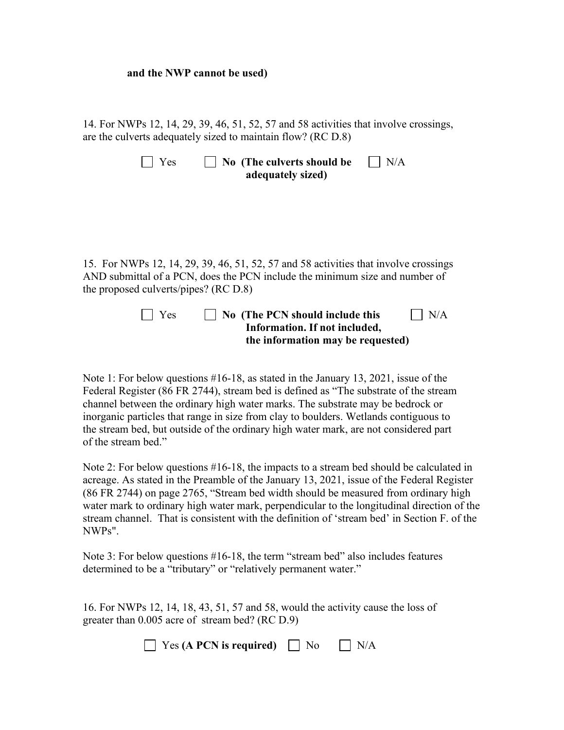#### **and the NWP cannot be used)**

14. For NWPs 12, 14, 29, 39, 46, 51, 52, 57 and 58 activities that involve crossings, are the culverts adequately sized to maintain flow? (RC D.8)

| $\blacksquare$ Yes | $\Box$ No (The culverts should be | $\Box$ N/A |
|--------------------|-----------------------------------|------------|
|                    | adequately sized)                 |            |

15. For NWPs 12, 14, 29, 39, 46, 51, 52, 57 and 58 activities that involve crossings AND submittal of a PCN, does the PCN include the minimum size and number of the proposed culverts/pipes? (RC D.8)

| $\Box$ Yes | $\vert$ $\vert$ No (The PCN should include this | $\vert$ $\vert$ N/A |
|------------|-------------------------------------------------|---------------------|
|            | Information. If not included,                   |                     |
|            | the information may be requested)               |                     |

Note 1: For below questions #16-18, as stated in the January 13, 2021, issue of the Federal Register (86 FR 2744), stream bed is defined as "The substrate of the stream channel between the ordinary high water marks. The substrate may be bedrock or inorganic particles that range in size from clay to boulders. Wetlands contiguous to the stream bed, but outside of the ordinary high water mark, are not considered part of the stream bed."

Note 2: For below questions #16-18, the impacts to a stream bed should be calculated in acreage. As stated in the Preamble of the January 13, 2021, issue of the Federal Register (86 FR 2744) on page 2765, "Stream bed width should be measured from ordinary high water mark to ordinary high water mark, perpendicular to the longitudinal direction of the stream channel. That is consistent with the definition of 'stream bed' in Section F. of the NWPs".

Note 3: For below questions #16-18, the term "stream bed" also includes features determined to be a "tributary" or "relatively permanent water."

16. For NWPs 12, 14, 18, 43, 51, 57 and 58, would the activity cause the loss of greater than 0.005 acre of stream bed? (RC D.9)

| $\Box$ Yes (A PCN is required) | $\Box$ No | $\Box$ N/A |
|--------------------------------|-----------|------------|
|--------------------------------|-----------|------------|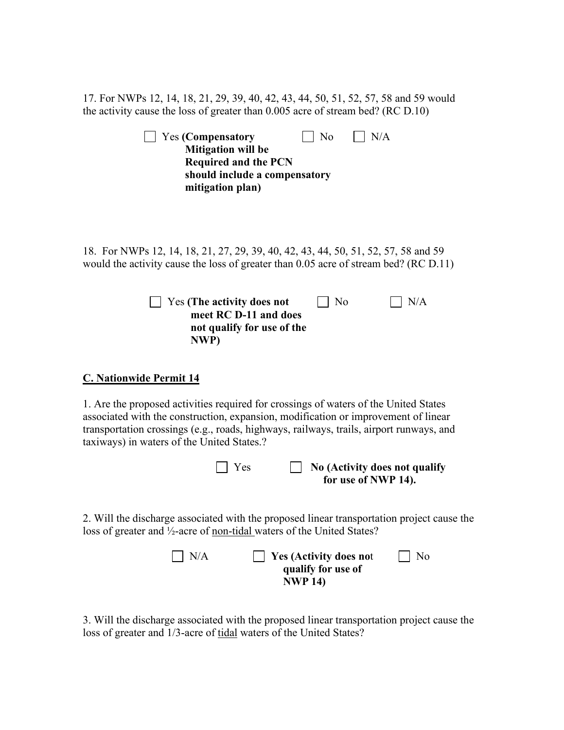17. For NWPs 12, 14, 18, 21, 29, 39, 40, 42, 43, 44, 50, 51, 52, 57, 58 and 59 would the activity cause the loss of greater than 0.005 acre of stream bed? (RC D.10)

| <b>Yes (Compensatory</b><br>N <sub>o</sub><br>N/A<br><b>Mitigation will be</b><br><b>Required and the PCN</b><br>should include a compensatory<br>mitigation plan)                                                                                                                                                  |
|---------------------------------------------------------------------------------------------------------------------------------------------------------------------------------------------------------------------------------------------------------------------------------------------------------------------|
| 18. For NWPs 12, 14, 18, 21, 27, 29, 39, 40, 42, 43, 44, 50, 51, 52, 57, 58 and 59<br>would the activity cause the loss of greater than 0.05 acre of stream bed? (RC D.11)                                                                                                                                          |
| N/A<br>Yes (The activity does not<br>No<br>meet RC D-11 and does<br>not qualify for use of the<br>NWP)                                                                                                                                                                                                              |
| <b>C. Nationwide Permit 14</b>                                                                                                                                                                                                                                                                                      |
| 1. Are the proposed activities required for crossings of waters of the United States<br>associated with the construction, expansion, modification or improvement of linear<br>transportation crossings (e.g., roads, highways, railways, trails, airport runways, and<br>taxiways) in waters of the United States.? |
| $\vert$ Yes<br>No (Activity does not qualify<br>for use of NWP 14).                                                                                                                                                                                                                                                 |
| 2. Will the discharge associated with the proposed linear transportation project cause the<br>loss of greater and 1/2-acre of non-tidal waters of the United States?                                                                                                                                                |
| N/A<br><b>Yes (Activity does not</b><br>No<br>qualify for use of<br><b>NWP 14)</b>                                                                                                                                                                                                                                  |

3. Will the discharge associated with the proposed linear transportation project cause the loss of greater and 1/3-acre of tidal waters of the United States?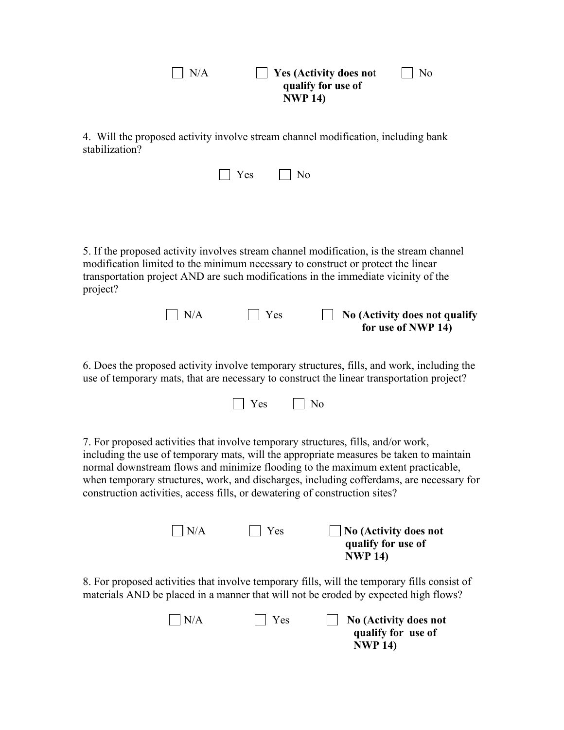| N/A                                                                                                                                                                                                                                                                           |     | <b>Yes (Activity does not</b><br>qualify for use of<br><b>NWP 14)</b> | No                                                  |
|-------------------------------------------------------------------------------------------------------------------------------------------------------------------------------------------------------------------------------------------------------------------------------|-----|-----------------------------------------------------------------------|-----------------------------------------------------|
| 4. Will the proposed activity involve stream channel modification, including bank<br>stabilization?                                                                                                                                                                           |     |                                                                       |                                                     |
|                                                                                                                                                                                                                                                                               | Yes | No                                                                    |                                                     |
|                                                                                                                                                                                                                                                                               |     |                                                                       |                                                     |
| 5. If the proposed activity involves stream channel modification, is the stream channel<br>modification limited to the minimum necessary to construct or protect the linear<br>transportation project AND are such modifications in the immediate vicinity of the<br>project? |     |                                                                       |                                                     |
| N/A                                                                                                                                                                                                                                                                           | Yes |                                                                       | No (Activity does not qualify<br>for use of NWP 14) |
| 6. Does the proposed ectivity involve temperary structures, fills, and work including the                                                                                                                                                                                     |     |                                                                       |                                                     |

6. Does the proposed activity involve temporary structures, fills, and work, including the use of temporary mats, that are necessary to construct the linear transportation project?



7. For proposed activities that involve temporary structures, fills, and/or work, including the use of temporary mats, will the appropriate measures be taken to maintain normal downstream flows and minimize flooding to the maximum extent practicable, when temporary structures, work, and discharges, including cofferdams, are necessary for construction activities, access fills, or dewatering of construction sites?

| $\Box N/A$ | $\Box$ Yes | $\Box$ No (Activity does not |
|------------|------------|------------------------------|
|            |            | qualify for use of           |
|            |            | <b>NWP 14)</b>               |

8. For proposed activities that involve temporary fills, will the temporary fills consist of materials AND be placed in a manner that will not be eroded by expected high flows?

| $\vert$ $\vert$ N/A | $\vert \vert$ Yes | $\parallel$ No (Activity does not |
|---------------------|-------------------|-----------------------------------|
|                     |                   | qualify for use of                |
|                     |                   | <b>NWP 14)</b>                    |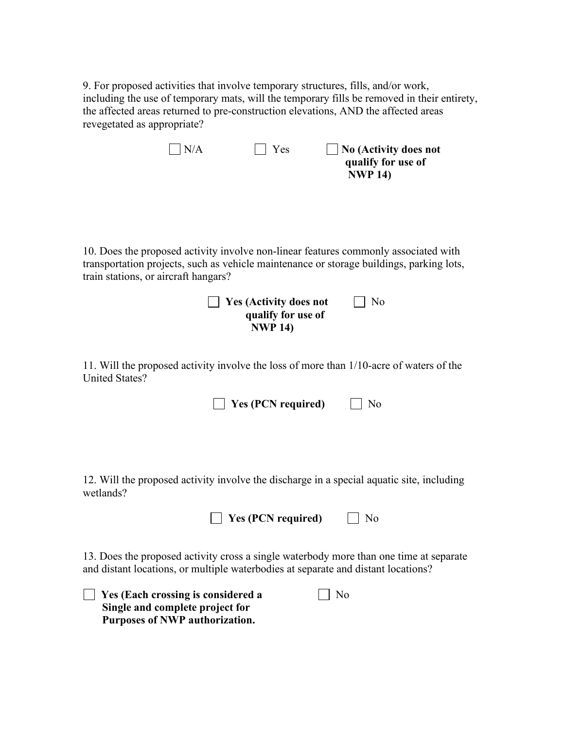9. For proposed activities that involve temporary structures, fills, and/or work, including the use of temporary mats, will the temporary fills be removed in their entirety, the affected areas returned to pre-construction elevations, AND the affected areas revegetated as appropriate?

|                                      | N/A | Yes                                                                   | No (Activity does not<br>qualify for use of<br><b>NWP 14)</b>                                                                                                                         |
|--------------------------------------|-----|-----------------------------------------------------------------------|---------------------------------------------------------------------------------------------------------------------------------------------------------------------------------------|
| train stations, or aircraft hangars? |     | <b>Yes (Activity does not</b><br>qualify for use of<br><b>NWP 14)</b> | 10. Does the proposed activity involve non-linear features commonly associated with<br>transportation projects, such as vehicle maintenance or storage buildings, parking lots,<br>No |
| <b>United States?</b>                |     | <b>Yes (PCN required)</b>                                             | 11. Will the proposed activity involve the loss of more than 1/10-acre of waters of the<br>No                                                                                         |
| wetlands?                            |     | <b>Yes (PCN required)</b>                                             | 12. Will the proposed activity involve the discharge in a special aquatic site, including<br>N <sub>o</sub>                                                                           |
|                                      |     |                                                                       | 13. Does the proposed activity cross a single waterbody more than one time at separate<br>and distant locations, or multiple waterbodies at separate and distant locations?           |

| $\Box$ Yes (Each crossing is considered a | $\Box$ No |
|-------------------------------------------|-----------|
| Single and complete project for           |           |
| Purposes of NWP authorization.            |           |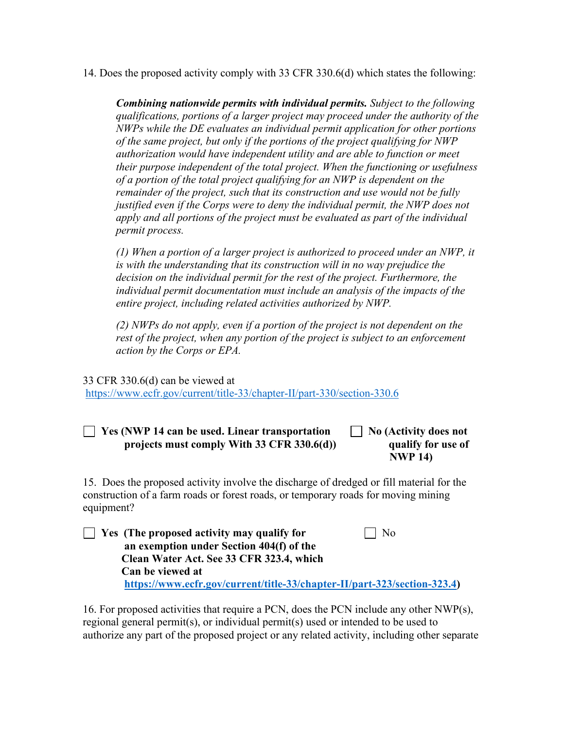14. Does the proposed activity comply with 33 CFR 330.6(d) which states the following:

*Combining nationwide permits with individual permits. Subject to the following qualifications, portions of a larger project may proceed under the authority of the NWPs while the DE evaluates an individual permit application for other portions of the same project, but only if the portions of the project qualifying for NWP authorization would have independent utility and are able to function or meet their purpose independent of the total project. When the functioning or usefulness of a portion of the total project qualifying for an NWP is dependent on the remainder of the project, such that its construction and use would not be fully justified even if the Corps were to deny the individual permit, the NWP does not apply and all portions of the project must be evaluated as part of the individual permit process.* 

*(1) When a portion of a larger project is authorized to proceed under an NWP, it is with the understanding that its construction will in no way prejudice the decision on the individual permit for the rest of the project. Furthermore, the individual permit documentation must include an analysis of the impacts of the entire project, including related activities authorized by NWP.* 

*(2) NWPs do not apply, even if a portion of the project is not dependent on the rest of the project, when any portion of the project is subject to an enforcement action by the Corps or EPA.*

33 CFR 330.6(d) can be viewed at <https://www.ecfr.gov/current/title-33/chapter-II/part-330/section-330.6>

 **Yes (NWP 14 can be used. Linear transportation No (Activity does not projects must comply With 33 CFR 330.6(d)) qualify for use of**

 **NWP 14)**

15. Does the proposed activity involve the discharge of dredged or fill material for the construction of a farm roads or forest roads, or temporary roads for moving mining equipment?

 $\Box$  Yes (The proposed activity may qualify for  $\Box$  No  **an exemption under Section 404(f) of the Clean Water Act. See 33 CFR 323.4, which Can be viewed at [https://www.ecfr.gov/current/title-33/chapter-II/part-323/section-323.4\)](https://www.ecfr.gov/current/title-33/chapter-II/part-323/section-323.4)**

16. For proposed activities that require a PCN, does the PCN include any other  $NWP(s)$ , regional general permit(s), or individual permit(s) used or intended to be used to authorize any part of the proposed project or any related activity, including other separate